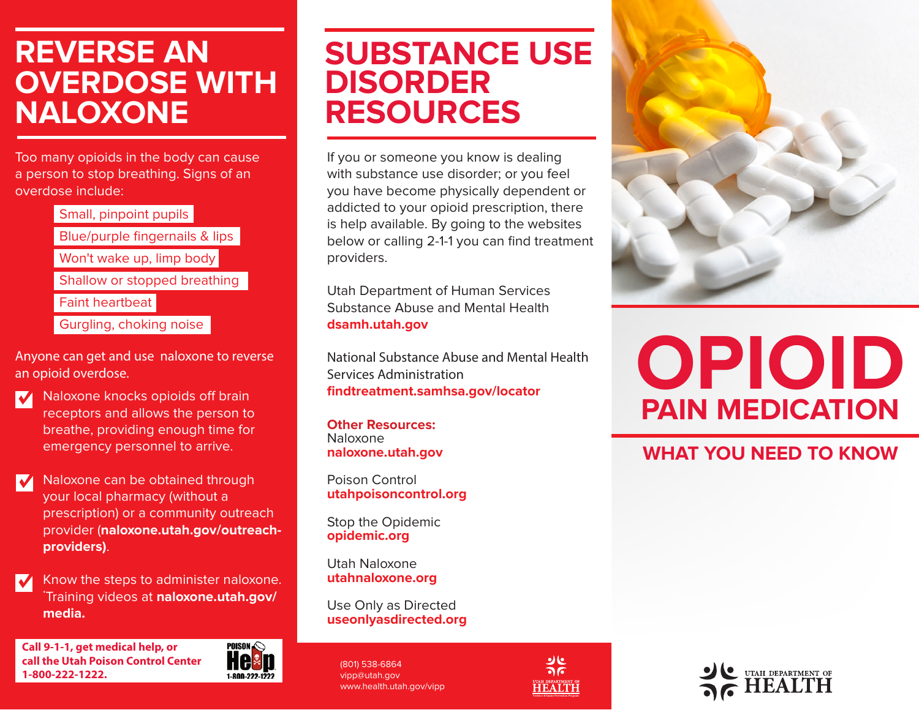### **REVERSE AN OVERDOSE WITH NALOXONE**

Too many opioids in the body can cause a person to stop breathing. Signs of an overdose include:

> Small, pinpoint pupils Blue/purple fingernails & lips Won't wake up, limp body Shallow or stopped breathing Faint heartbeat Gurgling, choking noise

Anyone can get and use naloxone to reverse an opioid overdose.

- Naloxone knocks opioids off brain **V** receptors and allows the person to breathe, providing enough time for emergency personnel to arrive.
- Naloxone can be obtained through  $\blacktriangledown$ your local pharmacy (without a prescription) or a community outreach provider (**naloxone.utah.gov/outreachproviders)**.
- Know the steps to administer naloxone. \* Training videos at **naloxone.utah.gov/ media.**

**Call 9-1-1, get medical help, or call the Utah Poison Control Center 1-800-222-1222.**



## **SUBSTANCE USE DISORDER RESOURCES**

If you or someone you know is dealing with substance use disorder; or you feel you have become physically dependent or addicted to your opioid prescription, there is help available. By going to the websites below or calling 2-1-1 you can find treatment providers.

Utah Department of Human Services Substance Abuse and Mental Health **dsamh.utah.gov**

National Substance Abuse and Mental Health Services Administration **findtreatment.samhsa.gov/locator**

**Other Resources:** Naloxone **naloxone.utah.gov**

Poison Control **utahpoisoncontrol.org**

Stop the Opidemic **opidemic.org**

Utah Naloxone **utahnaloxone.org**

Use Only as Directed **useonlyasdirected.org**

(801) 538-6864 vipp@utah.gov www.health.utah.gov/vipp





# **OPIOID PAIN MEDICATION**

#### **WHAT YOU NEED TO KNOW**